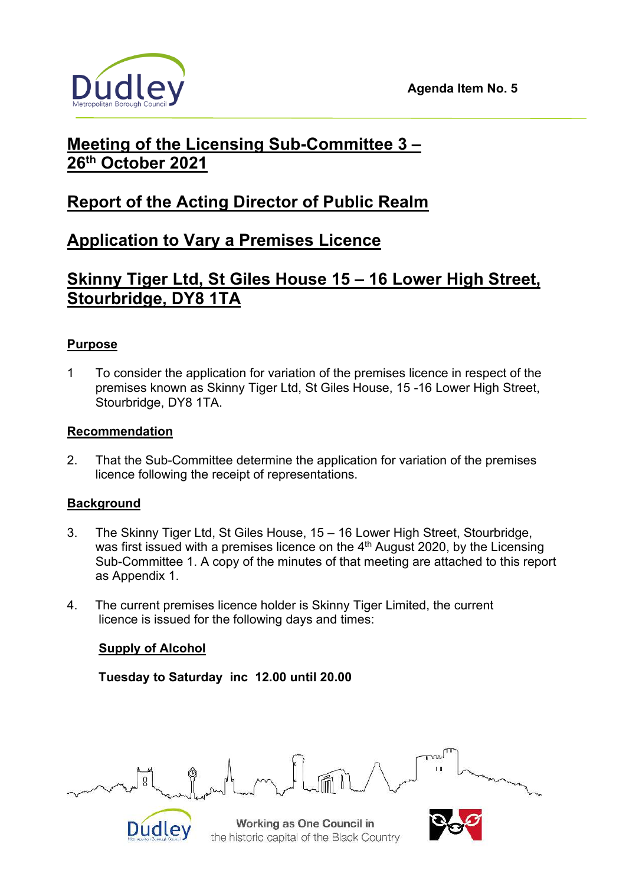



# **Meeting of the Licensing Sub-Committee 3 – 26th October 2021**

# **Report of the Acting Director of Public Realm**

# **Application to Vary a Premises Licence**

# **Skinny Tiger Ltd, St Giles House 15 – 16 Lower High Street, Stourbridge, DY8 1TA**

# **Purpose**

1 To consider the application for variation of the premises licence in respect of the premises known as Skinny Tiger Ltd, St Giles House, 15 -16 Lower High Street, Stourbridge, DY8 1TA.

# **Recommendation**

2. That the Sub-Committee determine the application for variation of the premises licence following the receipt of representations.

# **Background**

- 3. The Skinny Tiger Ltd, St Giles House, 15 16 Lower High Street, Stourbridge, was first issued with a premises licence on the 4<sup>th</sup> August 2020, by the Licensing Sub-Committee 1. A copy of the minutes of that meeting are attached to this report as Appendix 1.
- 4. The current premises licence holder is Skinny Tiger Limited, the current licence is issued for the following days and times:

# **Supply of Alcohol**

 **Tuesday to Saturday inc 12.00 until 20.00** 



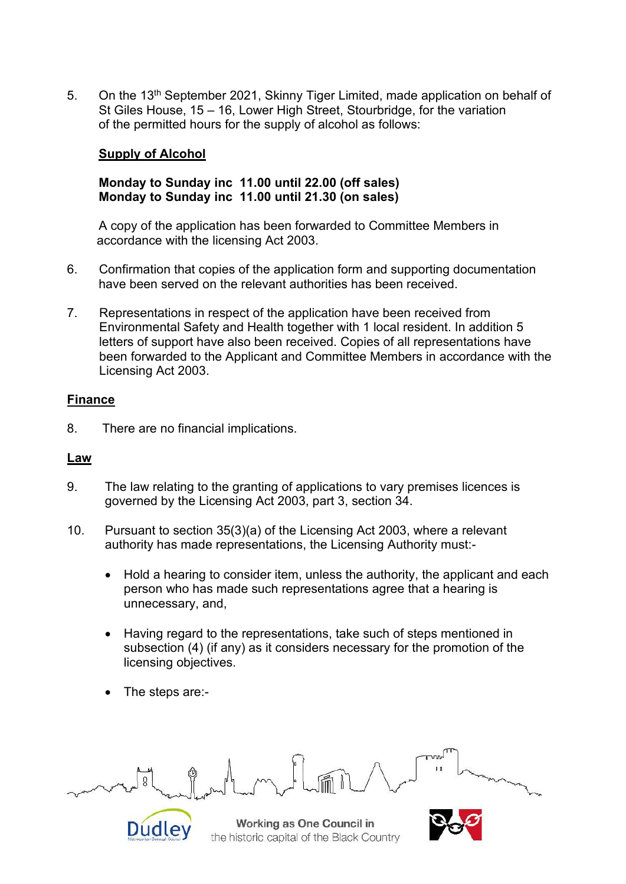5. On the 13<sup>th</sup> September 2021, Skinny Tiger Limited, made application on behalf of St Giles House, 15 – 16, Lower High Street, Stourbridge, for the variation of the permitted hours for the supply of alcohol as follows:

### **Supply of Alcohol**

#### **Monday to Sunday inc 11.00 until 22.00 (off sales) Monday to Sunday inc 11.00 until 21.30 (on sales)**

A copy of the application has been forwarded to Committee Members in accordance with the licensing Act 2003.

- 6. Confirmation that copies of the application form and supporting documentation have been served on the relevant authorities has been received.
- 7. Representations in respect of the application have been received from Environmental Safety and Health together with 1 local resident. In addition 5 letters of support have also been received. Copies of all representations have been forwarded to the Applicant and Committee Members in accordance with the Licensing Act 2003.

# **Finance**

8. There are no financial implications.

#### **Law**

- 9. The law relating to the granting of applications to vary premises licences is governed by the Licensing Act 2003, part 3, section 34.
- 10. Pursuant to section 35(3)(a) of the Licensing Act 2003, where a relevant authority has made representations, the Licensing Authority must:-
	- Hold a hearing to consider item, unless the authority, the applicant and each person who has made such representations agree that a hearing is unnecessary, and,
	- Having regard to the representations, take such of steps mentioned in subsection (4) (if any) as it considers necessary for the promotion of the licensing objectives.
	- The steps are:-



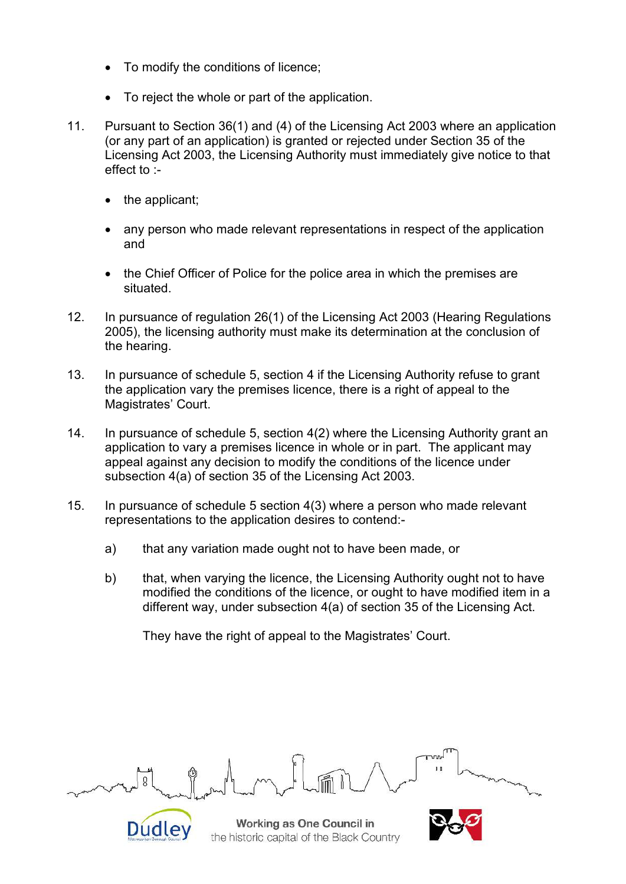- To modify the conditions of licence;
- To reject the whole or part of the application.
- 11. Pursuant to Section 36(1) and (4) of the Licensing Act 2003 where an application (or any part of an application) is granted or rejected under Section 35 of the Licensing Act 2003, the Licensing Authority must immediately give notice to that effect to :
	- the applicant;
	- any person who made relevant representations in respect of the application and
	- the Chief Officer of Police for the police area in which the premises are situated.
- 12. In pursuance of regulation 26(1) of the Licensing Act 2003 (Hearing Regulations 2005), the licensing authority must make its determination at the conclusion of the hearing.
- 13. In pursuance of schedule 5, section 4 if the Licensing Authority refuse to grant the application vary the premises licence, there is a right of appeal to the Magistrates' Court.
- 14. In pursuance of schedule 5, section 4(2) where the Licensing Authority grant an application to vary a premises licence in whole or in part. The applicant may appeal against any decision to modify the conditions of the licence under subsection 4(a) of section 35 of the Licensing Act 2003.
- 15. In pursuance of schedule 5 section 4(3) where a person who made relevant representations to the application desires to contend:
	- a) that any variation made ought not to have been made, or
	- b) that, when varying the licence, the Licensing Authority ought not to have modified the conditions of the licence, or ought to have modified item in a different way, under subsection 4(a) of section 35 of the Licensing Act.

They have the right of appeal to the Magistrates' Court.